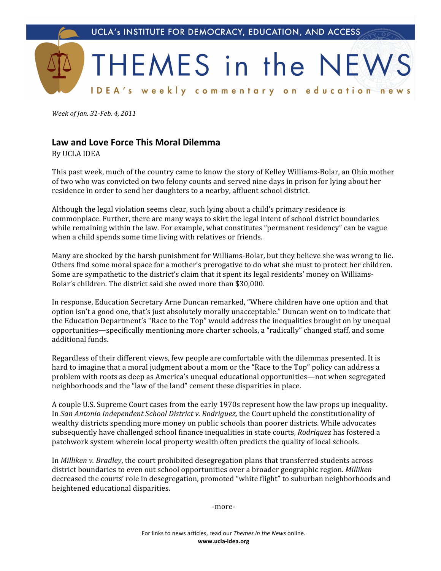

Week of Jan. 31-Feb. 4, 2011

## **Law
and
Love
Force
This
Moral
Dilemma**

By
UCLA
IDEA

This
past
week,
much
of
the
country
came
to
know
the
story
of
Kelley
Williams‐Bolar,
an
Ohio
mother of
two
who
was
convicted
on
two
felony
counts
and
served
nine
days
in
prison
for
lying
about
her residence
in
order
to
send
her
daughters
to
a
nearby,
affluent
school
district.

Although
the
legal
violation
seems
clear,
such
lying
about
a
child's
primary
residence
is commonplace.
Further,
there
are
many
ways
to
skirt
the
legal
intent
of
school
district
boundaries while remaining within the law. For example, what constitutes "permanent residency" can be vague when
a
child
spends
some
time
living
with
relatives
or
friends.

Many are shocked by the harsh punishment for Williams-Bolar, but they believe she was wrong to lie. Others find some moral space for a mother's prerogative to do what she must to protect her children. Some are sympathetic to the district's claim that it spent its legal residents' money on Williams-Bolar's
children.
The
district
said
she
owed
more
than
\$30,000.

In response, Education Secretary Arne Duncan remarked, "Where children have one option and that option isn't a good one, that's just absolutely morally unacceptable." Duncan went on to indicate that the Education Department's "Race to the Top" would address the inequalities brought on by unequal opportunities—specifically
mentioning
more
charter
schools,
a
"radically"
changed
staff,
and
some additional
funds.

Regardless of their different views, few people are comfortable with the dilemmas presented. It is hard to imagine that a moral judgment about a mom or the "Race to the Top" policy can address a problem
with
roots
as
deep
as
America's
unequal
educational
opportunities—not
when
segregated neighborhoods
and
the
"law
of
the
land"
cement
these
disparities
in
place.

A
couple
U.S.
Supreme
Court
cases
from
the
early
1970s
represent
how
the
law
props
up
inequality. In San Antonio Independent School District v. Rodriguez, the Court upheld the constitutionality of wealthy districts spending more money on public schools than poorer districts. While advocates subsequently have challenged school finance inequalities in state courts, *Rodriquez* has fostered a patchwork
system
wherein
local
property
wealth
often
predicts
the
quality
of
local
schools.

In *Milliken v. Bradley*, the court prohibited desegregation plans that transferred students across district
boundaries
to
even
out
school
opportunities
over
a
broader
geographic
region. *Milliken* decreased the courts' role in desegregation, promoted "white flight" to suburban neighborhoods and heightened
educational
disparities.

‐more‐